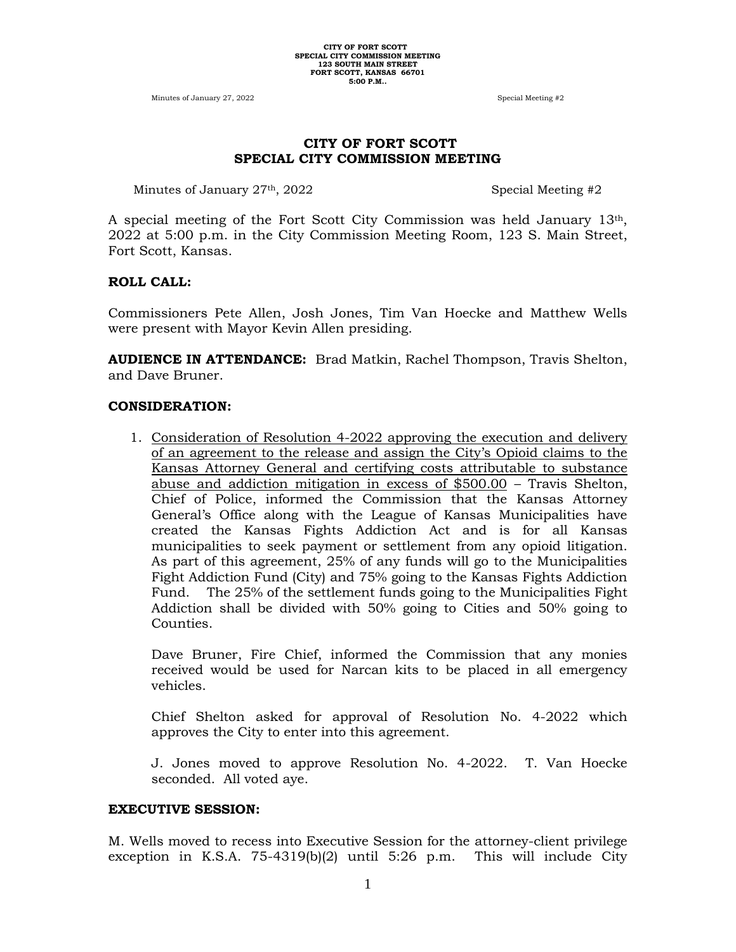Minutes of January 27, 2022 Special Meeting #2

### **CITY OF FORT SCOTT SPECIAL CITY COMMISSION MEETING**

Minutes of January 27<sup>th</sup>, 2022 Special Meeting #2

A special meeting of the Fort Scott City Commission was held January  $13<sup>th</sup>$ , 2022 at 5:00 p.m. in the City Commission Meeting Room, 123 S. Main Street, Fort Scott, Kansas.

#### **ROLL CALL:**

Commissioners Pete Allen, Josh Jones, Tim Van Hoecke and Matthew Wells were present with Mayor Kevin Allen presiding.

**AUDIENCE IN ATTENDANCE:** Brad Matkin, Rachel Thompson, Travis Shelton, and Dave Bruner.

#### **CONSIDERATION:**

1. Consideration of Resolution 4-2022 approving the execution and delivery of an agreement to the release and assign the City's Opioid claims to the Kansas Attorney General and certifying costs attributable to substance abuse and addiction mitigation in excess of \$500.00 – Travis Shelton, Chief of Police, informed the Commission that the Kansas Attorney General's Office along with the League of Kansas Municipalities have created the Kansas Fights Addiction Act and is for all Kansas municipalities to seek payment or settlement from any opioid litigation. As part of this agreement, 25% of any funds will go to the Municipalities Fight Addiction Fund (City) and 75% going to the Kansas Fights Addiction Fund. The 25% of the settlement funds going to the Municipalities Fight Addiction shall be divided with 50% going to Cities and 50% going to Counties.

Dave Bruner, Fire Chief, informed the Commission that any monies received would be used for Narcan kits to be placed in all emergency vehicles.

Chief Shelton asked for approval of Resolution No. 4-2022 which approves the City to enter into this agreement.

J. Jones moved to approve Resolution No. 4-2022. T. Van Hoecke seconded. All voted aye.

#### **EXECUTIVE SESSION:**

M. Wells moved to recess into Executive Session for the attorney-client privilege exception in K.S.A. 75-4319(b)(2) until 5:26 p.m. This will include City